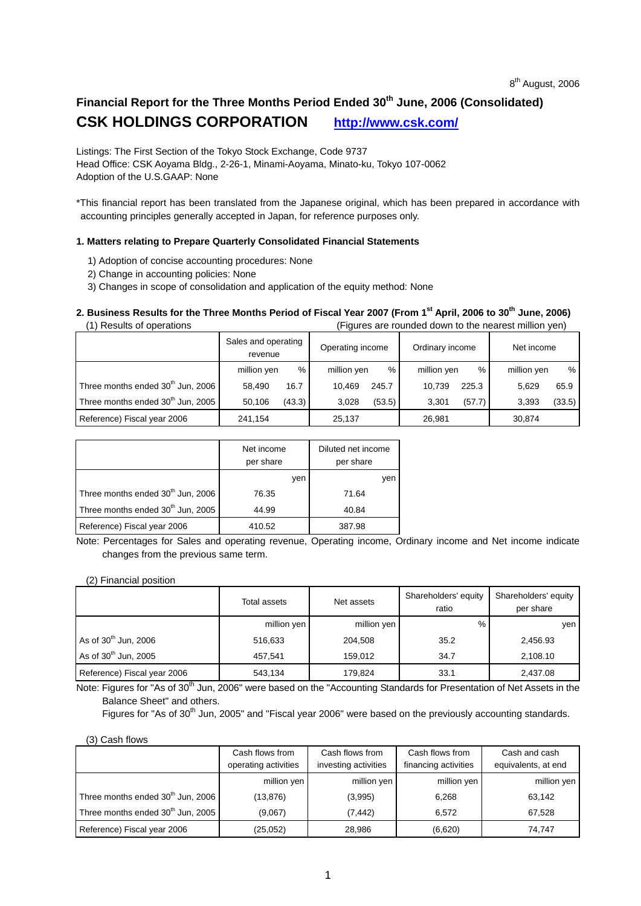## **Financial Report for the Three Months Period Ended 30th June, 2006 (Consolidated) CSK HOLDINGS CORPORATION http://www.csk.com/**

Listings: The First Section of the Tokyo Stock Exchange, Code 9737 Head Office: CSK Aoyama Bldg., 2-26-1, Minami-Aoyama, Minato-ku, Tokyo 107-0062 Adoption of the U.S.GAAP: None

\*This financial report has been translated from the Japanese original, which has been prepared in accordance with accounting principles generally accepted in Japan, for reference purposes only.

### **1. Matters relating to Prepare Quarterly Consolidated Financial Statements**

- 1) Adoption of concise accounting procedures: None
- 2) Change in accounting policies: None
- 3) Changes in scope of consolidation and application of the equity method: None

### 2. Business Results for the Three Months Period of Fiscal Year 2007 (From 1<sup>st</sup> April, 2006 to 30<sup>th</sup> June, 2006) (1) Results of operations (Figures are rounded down to the nearest million yen)

|                                               | Sales and operating<br>revenue |        | Operating income |        | Ordinary income |        | Net income  |        |
|-----------------------------------------------|--------------------------------|--------|------------------|--------|-----------------|--------|-------------|--------|
|                                               | million yen                    | %      | million yen      | %      | million yen     | %      | million yen | %      |
| Three months ended 30 <sup>th</sup> Jun, 2006 | 58.490                         | 16.7   | 10.469           | 245.7  | 10.739          | 225.3  | 5.629       | 65.9   |
| Three months ended 30 <sup>th</sup> Jun, 2005 | 50.106                         | (43.3) | 3.028            | (53.5) | 3,301           | (57.7) | 3,393       | (33.5) |
| Reference) Fiscal year 2006                   | 241,154                        |        | 25,137           |        | 26.981          |        | 30.874      |        |

|                                               | Net income<br>per share | Diluted net income<br>per share |
|-----------------------------------------------|-------------------------|---------------------------------|
|                                               | ven                     | yen                             |
| Three months ended 30 <sup>th</sup> Jun, 2006 | 76.35                   | 71.64                           |
| Three months ended 30 <sup>th</sup> Jun, 2005 | 44.99                   | 40.84                           |
| Reference) Fiscal year 2006                   | 410.52                  | 387.98                          |

Note: Percentages for Sales and operating revenue, Operating income, Ordinary income and Net income indicate changes from the previous same term.

### (2) Financial position

|                             | Total assets | Net assets  | Shareholders' equity<br>ratio | Shareholders' equity<br>per share |
|-----------------------------|--------------|-------------|-------------------------------|-----------------------------------|
|                             | million yen  | million yen | %                             | ven                               |
| As of $30th$ Jun, 2006      | 516,633      | 204,508     | 35.2                          | 2,456.93                          |
| As of $30th$ Jun, 2005      | 457.541      | 159.012     | 34.7                          | 2,108.10                          |
| Reference) Fiscal year 2006 | 543,134      | 179,824     | 33.1                          | 2,437.08                          |

Note: Figures for "As of 30<sup>th</sup> Jun, 2006" were based on the "Accounting Standards for Presentation of Net Assets in the Balance Sheet" and others.

Figures for "As of 30<sup>th</sup> Jun, 2005" and "Fiscal year 2006" were based on the previously accounting standards.

#### (3) Cash flows

|                                               | Cash flows from      | Cash flows from      | Cash flows from      | Cash and cash       |
|-----------------------------------------------|----------------------|----------------------|----------------------|---------------------|
|                                               | operating activities | investing activities | financing activities | equivalents, at end |
|                                               | million yen          | million yen          | million yen          | million yen         |
| Three months ended 30 <sup>th</sup> Jun, 2006 | (13, 876)            | (3,995)              | 6.268                | 63.142              |
| Three months ended 30 <sup>th</sup> Jun, 2005 | (9,067)              | (7,442)              | 6.572                | 67.528              |
| Reference) Fiscal year 2006                   | (25,052)             | 28,986               | (6,620)              | 74,747              |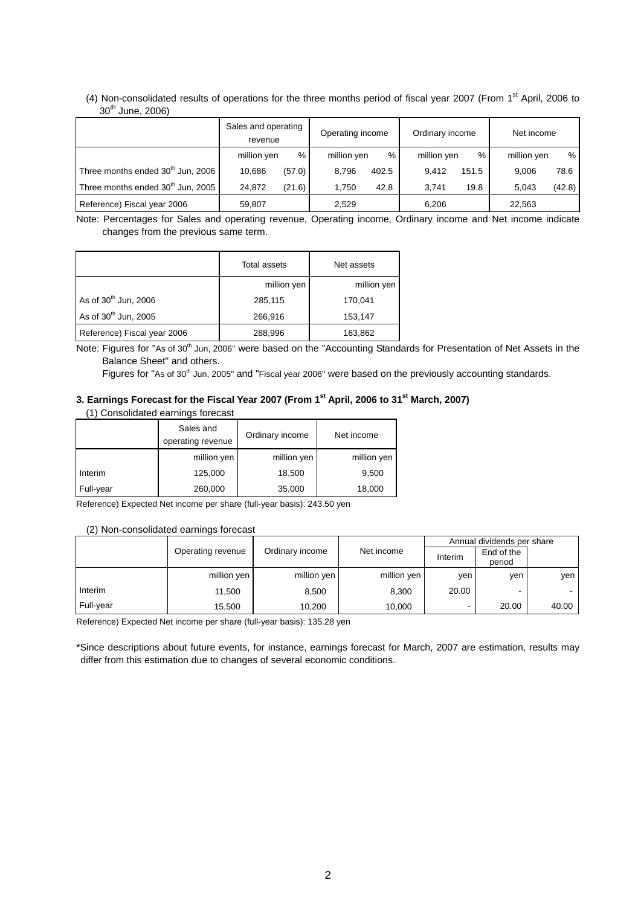### (4) Non-consolidated results of operations for the three months period of fiscal year 2007 (From 1<sup>st</sup> April, 2006 to 30<sup>th</sup> June, 2006)

|                                               | Sales and operating<br>revenue |        | Operating income |       | Ordinary income |       | Net income  |        |
|-----------------------------------------------|--------------------------------|--------|------------------|-------|-----------------|-------|-------------|--------|
|                                               | million yen                    | %      | million yen      | %     | million yen     | %     | million yen | %      |
| Three months ended 30 <sup>th</sup> Jun, 2006 | 10.686                         | (57.0) | 8.796            | 402.5 | 9.412           | 151.5 | 9.006       | 78.6   |
| Three months ended 30 <sup>th</sup> Jun, 2005 | 24.872                         | (21.6) | 1.750            | 42.8  | 3.741           | 19.8  | 5.043       | (42.8) |
| Reference) Fiscal year 2006                   | 59,807                         |        | 2,529            |       | 6,206           |       | 22,563      |        |

Note: Percentages for Sales and operating revenue, Operating income, Ordinary income and Net income indicate changes from the previous same term.

|                                  | Total assets | Net assets  |
|----------------------------------|--------------|-------------|
|                                  | million yen  | million yen |
| As of 30 <sup>th</sup> Jun, 2006 | 285,115      | 170,041     |
| As of 30 <sup>th</sup> Jun, 2005 | 266,916      | 153,147     |
| Reference) Fiscal year 2006      | 288,996      | 163,862     |

Note: Figures for "As of 30<sup>th</sup> Jun, 2006" were based on the "Accounting Standards for Presentation of Net Assets in the Balance Sheet" and others.

Figures for "As of 30<sup>th</sup> Jun, 2005" and "Fiscal year 2006" were based on the previously accounting standards.

### **3. Earnings Forecast for the Fiscal Year 2007 (From 1st April, 2006 to 31st March, 2007)**

(1) Consolidated earnings forecast

|           | Sales and<br>operating revenue | Ordinary income | Net income  |
|-----------|--------------------------------|-----------------|-------------|
|           | million yen                    | million yen     | million yen |
| Interim   | 125,000                        | 18,500          | 9,500       |
| Full-year | 260,000                        | 35,000          | 18,000      |

Reference) Expected Net income per share (full-year basis): 243.50 yen

### (2) Non-consolidated earnings forecast

|           |                   |                 |             | Annual dividends per share |                      |       |  |
|-----------|-------------------|-----------------|-------------|----------------------------|----------------------|-------|--|
|           | Operating revenue | Ordinary income | Net income  | Interim                    | End of the<br>period |       |  |
|           | million yen       | million yen     | million yen | ven                        | ven                  | ven   |  |
| Interim   | 11,500            | 8,500           | 8,300       | 20.00                      |                      |       |  |
| Full-year | 15,500            | 10,200          | 10,000      |                            | 20.00                | 40.00 |  |

Reference) Expected Net income per share (full-year basis): 135.28 yen

\*Since descriptions about future events, for instance, earnings forecast for March, 2007 are estimation, results may differ from this estimation due to changes of several economic conditions.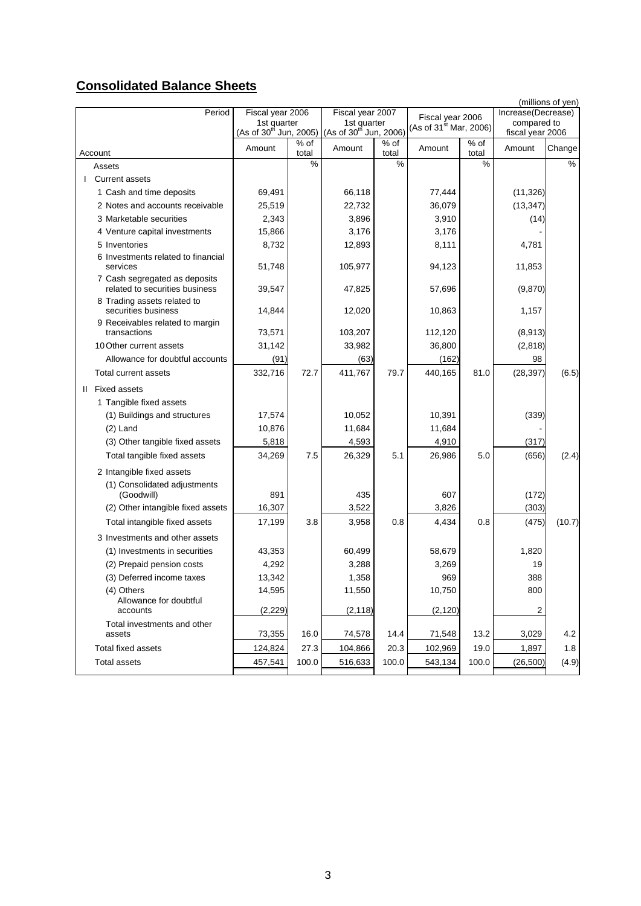# **Consolidated Balance Sheets**

|                                                                 |                  |               |                                                                                                  |                           |                                    |               |                                   | (millions of yen) |
|-----------------------------------------------------------------|------------------|---------------|--------------------------------------------------------------------------------------------------|---------------------------|------------------------------------|---------------|-----------------------------------|-------------------|
| Period                                                          | Fiscal year 2006 |               | Fiscal year 2007                                                                                 |                           | Fiscal year 2006                   |               | Increase(Decrease)<br>compared to |                   |
|                                                                 |                  |               | 1st quarter 1st quarter<br>(As of $30^{\text{th}}$ Jun, 2005) (As of $30^{\text{th}}$ Jun, 2006) |                           | (As of 31 <sup>st</sup> Mar, 2006) |               | fiscal year 2006                  |                   |
| Account                                                         | Amount           | % of<br>total | Amount                                                                                           | $\frac{1}{6}$ of<br>total | Amount                             | % of<br>total | Amount                            | Change            |
| Assets                                                          |                  | $\frac{0}{0}$ |                                                                                                  | %                         |                                    | %             |                                   | $\frac{9}{6}$     |
| <b>Current assets</b>                                           |                  |               |                                                                                                  |                           |                                    |               |                                   |                   |
| 1 Cash and time deposits                                        | 69,491           |               | 66,118                                                                                           |                           | 77,444                             |               | (11, 326)                         |                   |
| 2 Notes and accounts receivable                                 | 25,519           |               | 22,732                                                                                           |                           | 36,079                             |               | (13, 347)                         |                   |
| 3 Marketable securities                                         | 2,343            |               | 3,896                                                                                            |                           | 3,910                              |               | (14)                              |                   |
| 4 Venture capital investments                                   | 15,866           |               | 3,176                                                                                            |                           | 3,176                              |               |                                   |                   |
| 5 Inventories                                                   | 8,732            |               | 12,893                                                                                           |                           | 8,111                              |               | 4,781                             |                   |
| 6 Investments related to financial<br>services                  | 51,748           |               | 105,977                                                                                          |                           | 94,123                             |               | 11,853                            |                   |
| 7 Cash segregated as deposits<br>related to securities business | 39,547           |               | 47,825                                                                                           |                           | 57,696                             |               | (9,870)                           |                   |
| 8 Trading assets related to<br>securities business              | 14,844           |               | 12,020                                                                                           |                           | 10,863                             |               | 1,157                             |                   |
| 9 Receivables related to margin<br>transactions                 | 73,571           |               | 103,207                                                                                          |                           | 112,120                            |               | (8,913)                           |                   |
| 10 Other current assets                                         | 31,142           |               | 33,982                                                                                           |                           | 36,800                             |               | (2,818)                           |                   |
| Allowance for doubtful accounts                                 | (91)             |               | (63)                                                                                             |                           | (162)                              |               | 98                                |                   |
| Total current assets                                            | 332,716          | 72.7          | 411,767                                                                                          | 79.7                      | 440,165                            | 81.0          | (28, 397)                         | (6.5)             |
| II Fixed assets                                                 |                  |               |                                                                                                  |                           |                                    |               |                                   |                   |
| 1 Tangible fixed assets                                         |                  |               |                                                                                                  |                           |                                    |               |                                   |                   |
| (1) Buildings and structures                                    | 17,574           |               | 10,052                                                                                           |                           | 10,391                             |               | (339)                             |                   |
| $(2)$ Land                                                      | 10,876           |               | 11,684                                                                                           |                           | 11,684                             |               |                                   |                   |
| (3) Other tangible fixed assets                                 | 5,818            |               | 4,593                                                                                            |                           | 4,910                              |               | (317)                             |                   |
| Total tangible fixed assets                                     | 34,269           | 7.5           | 26,329                                                                                           | 5.1                       | 26,986                             | 5.0           | (656)                             | (2.4)             |
| 2 Intangible fixed assets                                       |                  |               |                                                                                                  |                           |                                    |               |                                   |                   |
| (1) Consolidated adjustments<br>(Goodwill)                      | 891              |               | 435                                                                                              |                           | 607                                |               | (172)                             |                   |
| (2) Other intangible fixed assets                               | 16,307           |               | 3,522                                                                                            |                           | 3,826                              |               | (303)                             |                   |
| Total intangible fixed assets                                   | 17,199           | 3.8           | 3,958                                                                                            | 0.8                       | 4,434                              | 0.8           | (475)                             | (10.7)            |
| 3 Investments and other assets                                  |                  |               |                                                                                                  |                           |                                    |               |                                   |                   |
| (1) Investments in securities                                   | 43,353           |               | 60,499                                                                                           |                           | 58,679                             |               | 1,820                             |                   |
| (2) Prepaid pension costs                                       | 4,292            |               | 3,288                                                                                            |                           | 3,269                              |               | 19                                |                   |
| (3) Deferred income taxes                                       | 13,342           |               | 1,358                                                                                            |                           | 969                                |               | 388                               |                   |
| (4) Others                                                      | 14,595           |               | 11,550                                                                                           |                           | 10,750                             |               | 800                               |                   |
| Allowance for doubtful<br>accounts                              | (2, 229)         |               | (2, 118)                                                                                         |                           | (2, 120)                           |               | 2                                 |                   |
| Total investments and other                                     |                  |               |                                                                                                  |                           |                                    |               |                                   |                   |
| assets                                                          | 73,355           | 16.0          | 74,578                                                                                           | 14.4                      | 71,548                             | 13.2          | 3,029                             | 4.2               |
| Total fixed assets                                              | 124,824          | 27.3          | 104,866                                                                                          | 20.3                      | 102,969                            | 19.0          | 1,897                             | 1.8               |
| <b>Total assets</b>                                             | 457,541          | 100.0         | 516,633                                                                                          | 100.0                     | 543,134                            | 100.0         | (26, 500)                         | (4.9)             |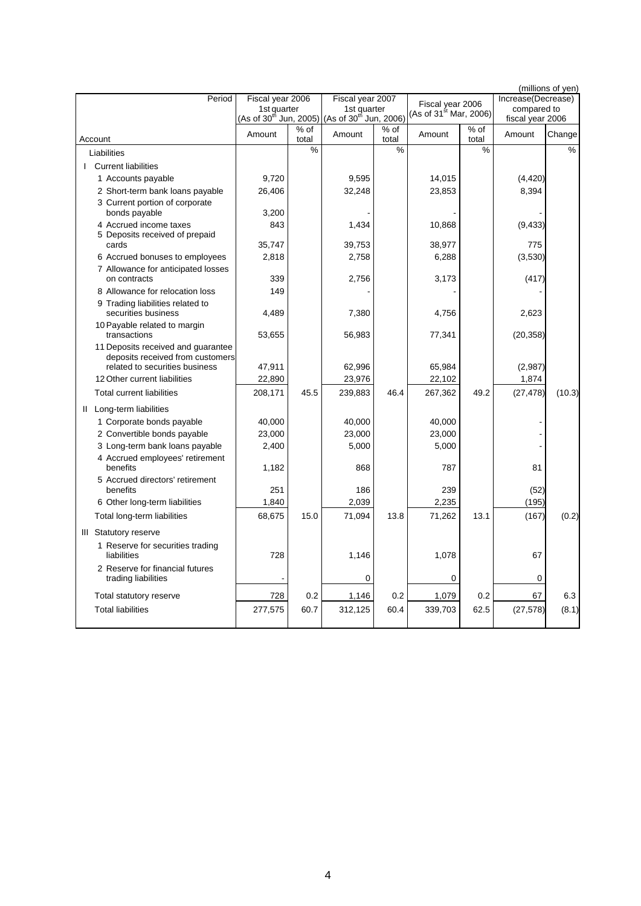|                                                        |                  |               |                                                                                                  |               |                                    |                 |                                 | (millions of yen) |
|--------------------------------------------------------|------------------|---------------|--------------------------------------------------------------------------------------------------|---------------|------------------------------------|-----------------|---------------------------------|-------------------|
| Period                                                 | Fiscal year 2006 |               | Fiscal year 2007                                                                                 |               | Fiscal year 2006                   |                 | Increase(Decrease)              |                   |
|                                                        |                  |               | 1st quarter 1st quarter<br>(As of $30^{\text{th}}$ Jun, 2005) (As of $30^{\text{th}}$ Jun, 2006) |               | (As of 31 <sup>st</sup> Mar, 2006) |                 | compared to<br>fiscal year 2006 |                   |
| Account                                                | Amount           | % of<br>total | Amount                                                                                           | % of<br>total | Amount                             | $%$ of<br>total | Amount                          | Change            |
| Liabilities                                            |                  | $\%$          |                                                                                                  | $\%$          |                                    | $\%$            |                                 | $\frac{1}{2}$     |
| <b>Current liabilities</b>                             |                  |               |                                                                                                  |               |                                    |                 |                                 |                   |
| 1 Accounts payable                                     | 9,720            |               | 9,595                                                                                            |               | 14,015                             |                 | (4, 420)                        |                   |
| 2 Short-term bank loans payable                        | 26,406           |               | 32,248                                                                                           |               | 23,853                             |                 | 8,394                           |                   |
| 3 Current portion of corporate                         |                  |               |                                                                                                  |               |                                    |                 |                                 |                   |
| bonds payable                                          | 3,200            |               |                                                                                                  |               |                                    |                 |                                 |                   |
| 4 Accrued income taxes                                 | 843              |               | 1,434                                                                                            |               | 10,868                             |                 | (9, 433)                        |                   |
| 5 Deposits received of prepaid                         |                  |               |                                                                                                  |               |                                    |                 | 775                             |                   |
| cards                                                  | 35,747           |               | 39,753                                                                                           |               | 38,977                             |                 |                                 |                   |
| 6 Accrued bonuses to employees                         | 2,818            |               | 2,758                                                                                            |               | 6,288                              |                 | (3,530)                         |                   |
| 7 Allowance for anticipated losses<br>on contracts     | 339              |               | 2,756                                                                                            |               | 3,173                              |                 | (417)                           |                   |
| 8 Allowance for relocation loss                        | 149              |               |                                                                                                  |               |                                    |                 |                                 |                   |
| 9 Trading liabilities related to                       |                  |               |                                                                                                  |               |                                    |                 |                                 |                   |
| securities business                                    | 4,489            |               | 7,380                                                                                            |               | 4,756                              |                 | 2,623                           |                   |
| 10 Payable related to margin<br>transactions           | 53,655           |               | 56,983                                                                                           |               | 77,341                             |                 | (20, 358)                       |                   |
| 11 Deposits received and guarantee                     |                  |               |                                                                                                  |               |                                    |                 |                                 |                   |
| deposits received from customers                       |                  |               |                                                                                                  |               |                                    |                 |                                 |                   |
| related to securities business                         | 47,911           |               | 62,996                                                                                           |               | 65,984                             |                 | (2,987)                         |                   |
| 12 Other current liabilities                           | 22,890           |               | 23,976                                                                                           |               | 22,102                             |                 | 1,874                           |                   |
| <b>Total current liabilities</b>                       | 208,171          | 45.5          | 239,883                                                                                          | 46.4          | 267,362                            | 49.2            | (27, 478)                       | (10.3)            |
| II Long-term liabilities                               |                  |               |                                                                                                  |               |                                    |                 |                                 |                   |
| 1 Corporate bonds payable                              | 40,000           |               | 40,000                                                                                           |               | 40,000                             |                 |                                 |                   |
| 2 Convertible bonds payable                            | 23,000           |               | 23,000                                                                                           |               | 23,000                             |                 |                                 |                   |
| 3 Long-term bank loans payable                         | 2,400            |               | 5,000                                                                                            |               | 5,000                              |                 |                                 |                   |
| 4 Accrued employees' retirement<br>benefits            | 1,182            |               | 868                                                                                              |               | 787                                |                 | 81                              |                   |
| 5 Accrued directors' retirement<br>benefits            | 251              |               | 186                                                                                              |               | 239                                |                 | (52)                            |                   |
| 6 Other long-term liabilities                          | 1,840            |               | 2,039                                                                                            |               | 2,235                              |                 | (195)                           |                   |
| Total long-term liabilities                            | 68,675           | 15.0          | 71,094                                                                                           | 13.8          | 71,262                             | 13.1            | (167)                           | (0.2)             |
| III Statutory reserve                                  |                  |               |                                                                                                  |               |                                    |                 |                                 |                   |
| 1 Reserve for securities trading                       |                  |               |                                                                                                  |               |                                    |                 |                                 |                   |
| liabilities                                            | 728              |               | 1,146                                                                                            |               | 1,078                              |                 | 67                              |                   |
| 2 Reserve for financial futures<br>trading liabilities |                  |               | 0                                                                                                |               | $\Omega$                           |                 | $\Omega$                        |                   |
| Total statutory reserve                                | 728              | 0.2           | 1,146                                                                                            | 0.2           | 1,079                              | 0.2             | 67                              | 6.3               |
| <b>Total liabilities</b>                               | 277,575          | 60.7          | 312,125                                                                                          | 60.4          | 339,703                            | 62.5            | (27, 578)                       | (8.1)             |
|                                                        |                  |               |                                                                                                  |               |                                    |                 |                                 |                   |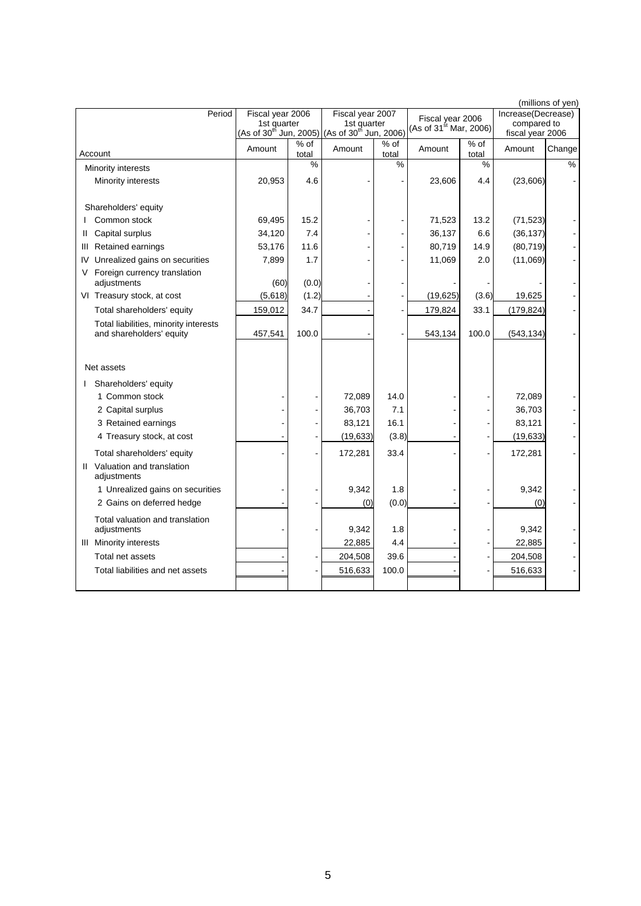|                                                                   |                  |               |                                                               |               |                                    |                 |                                 | (millions of yen) |
|-------------------------------------------------------------------|------------------|---------------|---------------------------------------------------------------|---------------|------------------------------------|-----------------|---------------------------------|-------------------|
| Period                                                            | Fiscal year 2006 |               | Fiscal year 2007                                              |               | Fiscal year 2006                   |                 | Increase(Decrease)              |                   |
|                                                                   |                  |               | 1st quarter $(As of 30th Jun, 2005)$ $(As of 30th Jun, 2006)$ |               | (As of 31 <sup>st</sup> Mar, 2006) |                 | compared to<br>fiscal year 2006 |                   |
| Account                                                           | Amount           | % of<br>total | Amount                                                        | % of<br>total | Amount                             | $%$ of<br>total | Amount                          | Change            |
| Minority interests                                                |                  | $\frac{0}{0}$ |                                                               | $\frac{0}{0}$ |                                    | $\frac{0}{0}$   |                                 | %                 |
| Minority interests                                                | 20,953           | 4.6           |                                                               |               | 23,606                             | 4.4             | (23,606)                        |                   |
| Shareholders' equity                                              |                  |               |                                                               |               |                                    |                 |                                 |                   |
| Common stock                                                      | 69,495           | 15.2          |                                                               |               | 71,523                             | 13.2            | (71, 523)                       |                   |
|                                                                   |                  | 7.4           |                                                               |               | 36,137                             |                 |                                 |                   |
| Capital surplus<br>Ш                                              | 34,120           |               |                                                               |               |                                    | 6.6             | (36, 137)                       |                   |
| Retained earnings<br>Ш                                            | 53,176           | 11.6          |                                                               |               | 80,719                             | 14.9            | (80, 719)                       |                   |
| Unrealized gains on securities<br>IV.                             | 7,899            | 1.7           |                                                               |               | 11,069                             | 2.0             | (11,069)                        |                   |
| V Foreign currency translation<br>adjustments                     | (60)             | (0.0)         |                                                               |               |                                    |                 |                                 |                   |
| VI Treasury stock, at cost                                        | (5,618)          | (1.2)         |                                                               |               | (19, 625)                          | (3.6)           | 19,625                          |                   |
| Total shareholders' equity                                        | 159,012          | 34.7          |                                                               |               | 179,824                            | 33.1            | (179, 824)                      |                   |
| Total liabilities, minority interests<br>and shareholders' equity | 457,541          | 100.0         |                                                               |               | 543,134                            | 100.0           | (543, 134)                      |                   |
| Net assets                                                        |                  |               |                                                               |               |                                    |                 |                                 |                   |
| Shareholders' equity                                              |                  |               |                                                               |               |                                    |                 |                                 |                   |
| 1 Common stock                                                    |                  |               | 72,089                                                        | 14.0          |                                    |                 | 72,089                          |                   |
|                                                                   |                  |               |                                                               |               |                                    |                 |                                 |                   |
| 2 Capital surplus                                                 |                  |               | 36,703                                                        | 7.1           |                                    |                 | 36,703                          |                   |
| 3 Retained earnings                                               |                  |               | 83,121                                                        | 16.1          |                                    |                 | 83,121                          |                   |
| 4 Treasury stock, at cost                                         |                  |               | (19, 633)                                                     | (3.8)         |                                    |                 | (19, 633)                       |                   |
| Total shareholders' equity                                        |                  |               | 172,281                                                       | 33.4          |                                    |                 | 172,281                         |                   |
| Valuation and translation<br>Ш<br>adjustments                     |                  |               |                                                               |               |                                    |                 |                                 |                   |
| 1 Unrealized gains on securities                                  |                  |               | 9,342                                                         | 1.8           |                                    |                 | 9,342                           |                   |
| 2 Gains on deferred hedge                                         |                  |               | (0)                                                           | (0.0)         |                                    |                 | (0)                             |                   |
| Total valuation and translation<br>adjustments                    |                  |               | 9,342                                                         | 1.8           |                                    |                 | 9,342                           |                   |
| <b>III</b> Minority interests                                     |                  |               | 22,885                                                        | 4.4           |                                    |                 | 22,885                          |                   |
| Total net assets                                                  |                  |               | 204,508                                                       | 39.6          |                                    |                 | 204,508                         |                   |
| Total liabilities and net assets                                  |                  |               | 516,633                                                       | 100.0         |                                    |                 | 516,633                         |                   |
|                                                                   |                  |               |                                                               |               |                                    |                 |                                 |                   |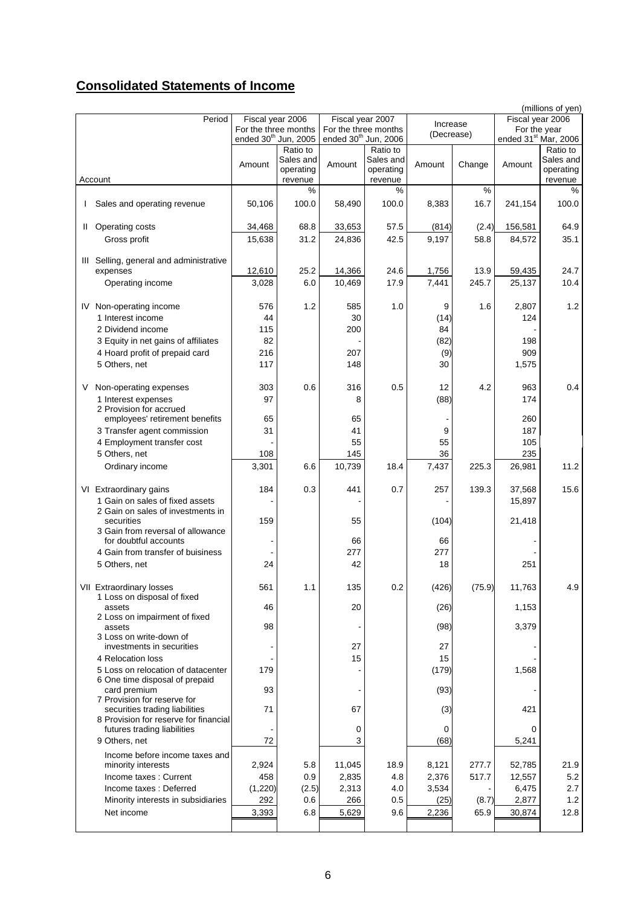# **Consolidated Statements of Income**

|   |                                                                         |                                  |           |                      |                                  |            |        |                                  | (millions of yen) |
|---|-------------------------------------------------------------------------|----------------------------------|-----------|----------------------|----------------------------------|------------|--------|----------------------------------|-------------------|
|   | Period                                                                  | Fiscal year 2006                 |           |                      | Fiscal year 2007                 | Increase   |        | Fiscal year 2006                 |                   |
|   |                                                                         | For the three months             |           | For the three months |                                  | (Decrease) |        | For the year                     |                   |
|   |                                                                         | ended 30 <sup>th</sup> Jun, 2005 |           |                      | ended 30 <sup>th</sup> Jun, 2006 |            |        | ended 31 <sup>st</sup> Mar, 2006 |                   |
|   |                                                                         |                                  | Ratio to  |                      | Ratio to                         |            |        |                                  | Ratio to          |
|   |                                                                         | Amount                           | Sales and | Amount               | Sales and                        | Amount     | Change | Amount                           | Sales and         |
|   |                                                                         |                                  | operating |                      | operating                        |            |        |                                  | operating         |
|   | Account                                                                 |                                  | revenue   |                      | revenue                          |            |        |                                  | revenue           |
|   |                                                                         |                                  | %         |                      | %                                |            | %      |                                  | %                 |
|   | Sales and operating revenue                                             | 50,106                           | 100.0     | 58,490               | 100.0                            | 8,383      | 16.7   | 241,154                          | 100.0             |
|   |                                                                         |                                  |           |                      |                                  |            |        |                                  |                   |
| Ш | Operating costs                                                         | 34,468                           | 68.8      | 33,653               | 57.5                             | (814)      | (2.4)  | 156,581                          | 64.9              |
|   | Gross profit                                                            | 15,638                           | 31.2      | 24,836               | 42.5                             | 9,197      | 58.8   | 84,572                           | 35.1              |
|   |                                                                         |                                  |           |                      |                                  |            |        |                                  |                   |
|   | III Selling, general and administrative                                 |                                  |           |                      |                                  |            |        |                                  |                   |
|   | expenses                                                                | 12,610                           | 25.2      | 14,366               | 24.6                             | 1,756      | 13.9   | 59,435                           | 24.7              |
|   | Operating income                                                        | 3,028                            | 6.0       | 10,469               | 17.9                             | 7,441      | 245.7  | 25,137                           | 10.4              |
|   |                                                                         |                                  |           |                      |                                  |            |        |                                  |                   |
|   |                                                                         |                                  |           |                      |                                  |            |        |                                  |                   |
|   | IV Non-operating income                                                 | 576                              | 1.2       | 585                  | 1.0                              | 9          | 1.6    | 2,807                            | 1.2               |
|   | 1 Interest income                                                       | 44                               |           | 30                   |                                  | (14)       |        | 124                              |                   |
|   | 2 Dividend income                                                       | 115                              |           | 200                  |                                  | 84         |        |                                  |                   |
|   | 3 Equity in net gains of affiliates                                     | 82                               |           |                      |                                  | (82)       |        | 198                              |                   |
|   | 4 Hoard profit of prepaid card                                          | 216                              |           | 207                  |                                  | (9)        |        | 909                              |                   |
|   | 5 Others, net                                                           | 117                              |           | 148                  |                                  | 30         |        | 1,575                            |                   |
|   |                                                                         |                                  |           |                      |                                  |            |        |                                  |                   |
| V | Non-operating expenses                                                  | 303                              | 0.6       | 316                  | 0.5                              | 12         | 4.2    | 963                              | 0.4               |
|   | 1 Interest expenses                                                     | 97                               |           | 8                    |                                  | (88)       |        | 174                              |                   |
|   | 2 Provision for accrued                                                 |                                  |           |                      |                                  |            |        |                                  |                   |
|   | employees' retirement benefits                                          | 65                               |           | 65                   |                                  |            |        | 260                              |                   |
|   | 3 Transfer agent commission                                             | 31                               |           | 41                   |                                  | 9          |        | 187                              |                   |
|   | 4 Employment transfer cost                                              |                                  |           | 55                   |                                  | 55         |        | 105                              |                   |
|   |                                                                         |                                  |           |                      |                                  |            |        |                                  |                   |
|   | 5 Others, net                                                           | 108                              |           | 145                  |                                  | 36         |        | 235                              |                   |
|   | Ordinary income                                                         | 3,301                            | 6.6       | 10,739               | 18.4                             | 7,437      | 225.3  | 26,981                           | 11.2              |
|   |                                                                         |                                  |           |                      |                                  |            |        |                                  |                   |
|   | VI Extraordinary gains                                                  | 184                              | 0.3       | 441                  | 0.7                              | 257        | 139.3  | 37,568                           | 15.6              |
|   | 1 Gain on sales of fixed assets                                         |                                  |           |                      |                                  |            |        | 15,897                           |                   |
|   | 2 Gain on sales of investments in                                       |                                  |           |                      |                                  |            |        |                                  |                   |
|   | securities                                                              | 159                              |           | 55                   |                                  | (104)      |        | 21,418                           |                   |
|   | 3 Gain from reversal of allowance                                       |                                  |           |                      |                                  |            |        |                                  |                   |
|   | for doubtful accounts                                                   |                                  |           | 66                   |                                  | 66         |        |                                  |                   |
|   | 4 Gain from transfer of buisiness                                       |                                  |           | 277                  |                                  | 277        |        |                                  |                   |
|   | 5 Others, net                                                           | 24                               |           | 42                   |                                  | 18         |        | 251                              |                   |
|   |                                                                         |                                  |           |                      |                                  |            |        |                                  |                   |
|   | VII Extraordinary losses                                                | 561                              | 1.1       | 135                  | 0.2                              | (426)      | (75.9) | 11,763                           |                   |
|   | 1 Loss on disposal of fixed                                             |                                  |           |                      |                                  |            |        |                                  |                   |
|   | assets                                                                  | 46                               |           | 20                   |                                  | (26)       |        | 1,153                            |                   |
|   | 2 Loss on impairment of fixed                                           |                                  |           |                      |                                  |            |        |                                  |                   |
|   | assets                                                                  | 98                               |           |                      |                                  | (98)       |        | 3,379                            |                   |
|   | 3 Loss on write-down of                                                 |                                  |           |                      |                                  |            |        |                                  |                   |
|   | investments in securities                                               |                                  |           | 27                   |                                  | 27         |        |                                  |                   |
|   | 4 Relocation loss                                                       |                                  |           | 15                   |                                  | 15         |        |                                  |                   |
|   | 5 Loss on relocation of datacenter                                      | 179                              |           |                      |                                  | (179)      |        | 1,568                            |                   |
|   | 6 One time disposal of prepaid                                          |                                  |           |                      |                                  |            |        |                                  |                   |
|   | card premium                                                            | 93                               |           |                      |                                  | (93)       |        |                                  |                   |
|   | 7 Provision for reserve for                                             |                                  |           |                      |                                  |            |        |                                  |                   |
|   | securities trading liabilities<br>8 Provision for reserve for financial | 71                               |           | 67                   |                                  | (3)        |        | 421                              |                   |
|   | futures trading liabilities                                             |                                  |           | 0                    |                                  | 0          |        | 0                                |                   |
|   |                                                                         |                                  |           |                      |                                  |            |        |                                  |                   |
|   | 9 Others, net                                                           | 72                               |           | 3                    |                                  | (68)       |        | 5,241                            |                   |
|   | Income before income taxes and                                          |                                  |           |                      |                                  |            |        |                                  |                   |
|   | minority interests                                                      | 2,924                            | 5.8       | 11,045               | 18.9                             | 8,121      | 277.7  | 52,785                           | 21.9              |
|   | Income taxes: Current                                                   | 458                              | 0.9       | 2,835                | 4.8                              | 2,376      | 517.7  | 12,557                           | 5.2               |
|   | Income taxes: Deferred                                                  | (1,220)                          | (2.5)     | 2,313                | 4.0                              | 3,534      |        | 6,475                            | 2.7               |
|   | Minority interests in subsidiaries                                      | 292                              | 0.6       | 266                  | 0.5                              | (25)       | (8.7)  | 2,877                            | 1.2               |
|   | Net income                                                              | 3,393                            | 6.8       | 5,629                | 9.6                              | 2,236      | 65.9   | 30,874                           | 12.8              |
|   |                                                                         |                                  |           |                      |                                  |            |        |                                  |                   |
|   |                                                                         |                                  |           |                      |                                  |            |        |                                  |                   |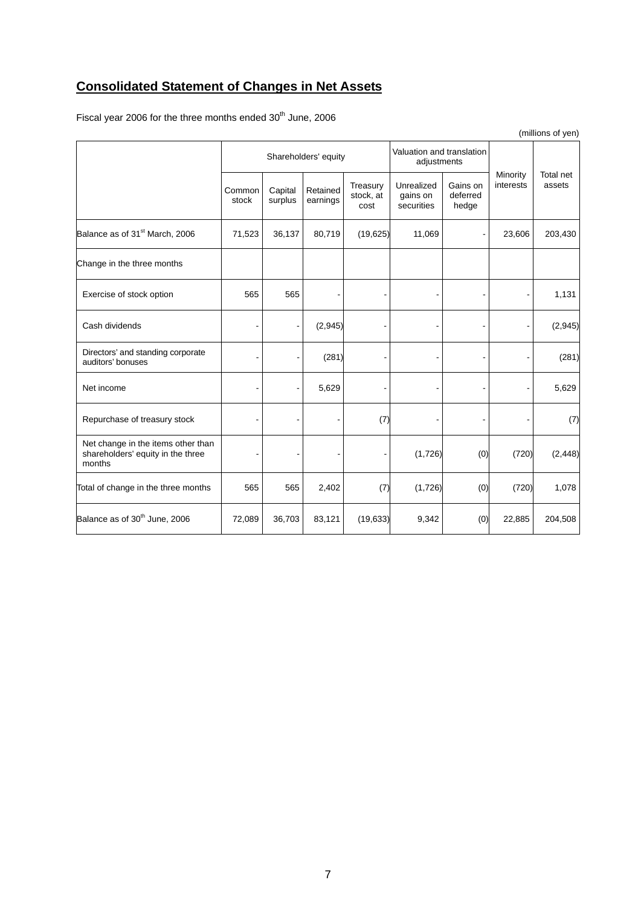## **Consolidated Statement of Changes in Net Assets**

Fiscal year 2006 for the three months ended  $30<sup>th</sup>$  June, 2006

| (millions of yen)                                                                 |                 |                    |                      |                               |                                          |                               |                       |                     |  |  |  |
|-----------------------------------------------------------------------------------|-----------------|--------------------|----------------------|-------------------------------|------------------------------------------|-------------------------------|-----------------------|---------------------|--|--|--|
|                                                                                   |                 |                    | Shareholders' equity |                               | Valuation and translation<br>adjustments |                               |                       | Total net<br>assets |  |  |  |
|                                                                                   | Common<br>stock | Capital<br>surplus | Retained<br>earnings | Treasury<br>stock, at<br>cost | Unrealized<br>gains on<br>securities     | Gains on<br>deferred<br>hedge | Minority<br>interests |                     |  |  |  |
| Balance as of 31 <sup>st</sup> March, 2006                                        | 71,523          | 36,137             | 80,719               | (19, 625)                     | 11,069                                   |                               | 23,606                | 203,430             |  |  |  |
| Change in the three months                                                        |                 |                    |                      |                               |                                          |                               |                       |                     |  |  |  |
| Exercise of stock option                                                          | 565             | 565                |                      |                               |                                          |                               |                       | 1,131               |  |  |  |
| Cash dividends                                                                    |                 |                    | (2, 945)             |                               | $\qquad \qquad \blacksquare$             |                               |                       | (2, 945)            |  |  |  |
| Directors' and standing corporate<br>auditors' bonuses                            |                 |                    | (281)                |                               |                                          |                               |                       | (281)               |  |  |  |
| Net income                                                                        |                 |                    | 5,629                |                               |                                          |                               |                       | 5,629               |  |  |  |
| Repurchase of treasury stock                                                      |                 |                    |                      | (7)                           |                                          |                               |                       | (7)                 |  |  |  |
| Net change in the items other than<br>shareholders' equity in the three<br>months |                 |                    |                      |                               | (1,726)                                  | (0)                           | (720)                 | (2, 448)            |  |  |  |
| Total of change in the three months                                               | 565             | 565                | 2,402                | (7)                           | (1,726)                                  | (0)                           | (720)                 | 1,078               |  |  |  |
| Balance as of 30 <sup>th</sup> June, 2006                                         | 72,089          | 36,703             | 83,121               | (19, 633)                     | 9,342                                    | (0)                           | 22,885                | 204,508             |  |  |  |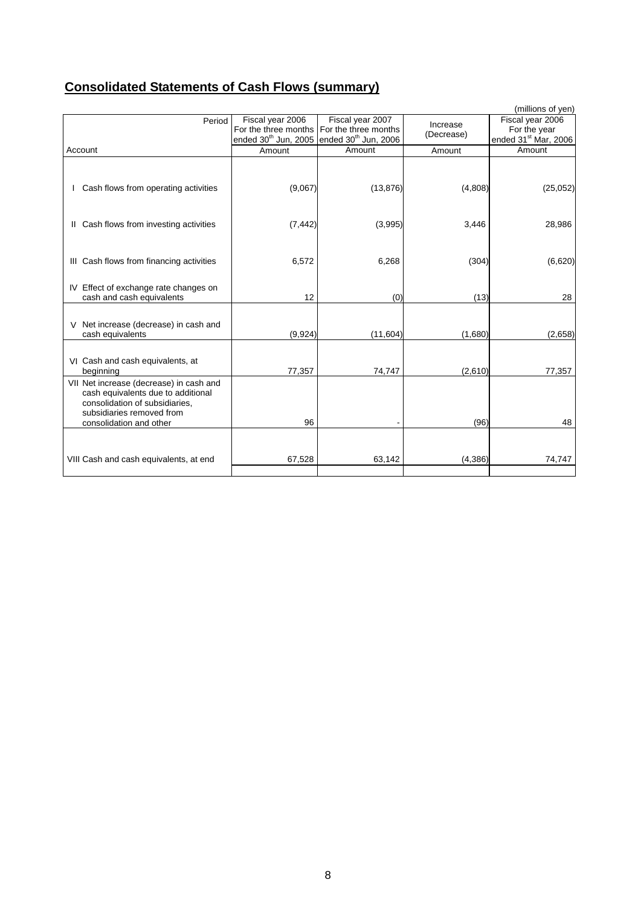# **Consolidated Statements of Cash Flows (summary)**

|                                                                               |                                                                                                                  | (millions of yen) |            |                                                  |  |  |  |  |  |
|-------------------------------------------------------------------------------|------------------------------------------------------------------------------------------------------------------|-------------------|------------|--------------------------------------------------|--|--|--|--|--|
| Period                                                                        | Fiscal year 2006                                                                                                 | Fiscal year 2007  | Increase   | Fiscal year 2006                                 |  |  |  |  |  |
|                                                                               | For the three months   For the three months<br>ended 30 <sup>th</sup> Jun, 2005 ended 30 <sup>th</sup> Jun, 2006 |                   | (Decrease) | For the year<br>ended 31 <sup>st</sup> Mar, 2006 |  |  |  |  |  |
| Account                                                                       | Amount                                                                                                           | Amount            | Amount     | Amount                                           |  |  |  |  |  |
|                                                                               |                                                                                                                  |                   |            |                                                  |  |  |  |  |  |
|                                                                               |                                                                                                                  |                   |            |                                                  |  |  |  |  |  |
| Cash flows from operating activities                                          | (9,067)                                                                                                          | (13, 876)         | (4,808)    | (25, 052)                                        |  |  |  |  |  |
|                                                                               |                                                                                                                  |                   |            |                                                  |  |  |  |  |  |
|                                                                               |                                                                                                                  |                   |            |                                                  |  |  |  |  |  |
| II Cash flows from investing activities                                       | (7, 442)                                                                                                         | (3,995)           | 3,446      | 28,986                                           |  |  |  |  |  |
|                                                                               |                                                                                                                  |                   |            |                                                  |  |  |  |  |  |
|                                                                               |                                                                                                                  |                   |            |                                                  |  |  |  |  |  |
| III Cash flows from financing activities                                      | 6,572                                                                                                            | 6,268             | (304)      | (6,620)                                          |  |  |  |  |  |
|                                                                               |                                                                                                                  |                   |            |                                                  |  |  |  |  |  |
| IV Effect of exchange rate changes on                                         |                                                                                                                  |                   |            |                                                  |  |  |  |  |  |
| cash and cash equivalents                                                     | 12                                                                                                               | (0)               | (13)       | 28                                               |  |  |  |  |  |
|                                                                               |                                                                                                                  |                   |            |                                                  |  |  |  |  |  |
| Net increase (decrease) in cash and<br>V                                      |                                                                                                                  |                   |            |                                                  |  |  |  |  |  |
| cash equivalents                                                              | (9,924)                                                                                                          | (11,604)          | (1,680)    | (2,658)                                          |  |  |  |  |  |
|                                                                               |                                                                                                                  |                   |            |                                                  |  |  |  |  |  |
| VI Cash and cash equivalents, at                                              |                                                                                                                  |                   |            |                                                  |  |  |  |  |  |
| beginning                                                                     | 77,357                                                                                                           | 74,747            | (2,610)    | 77,357                                           |  |  |  |  |  |
| VII Net increase (decrease) in cash and<br>cash equivalents due to additional |                                                                                                                  |                   |            |                                                  |  |  |  |  |  |
| consolidation of subsidiaries,                                                |                                                                                                                  |                   |            |                                                  |  |  |  |  |  |
| subsidiaries removed from                                                     |                                                                                                                  |                   |            |                                                  |  |  |  |  |  |
| consolidation and other                                                       | 96                                                                                                               |                   | (96)       | 48                                               |  |  |  |  |  |
|                                                                               |                                                                                                                  |                   |            |                                                  |  |  |  |  |  |
|                                                                               |                                                                                                                  |                   |            |                                                  |  |  |  |  |  |
| VIII Cash and cash equivalents, at end                                        | 67,528                                                                                                           | 63,142            | (4,386)    | 74,747                                           |  |  |  |  |  |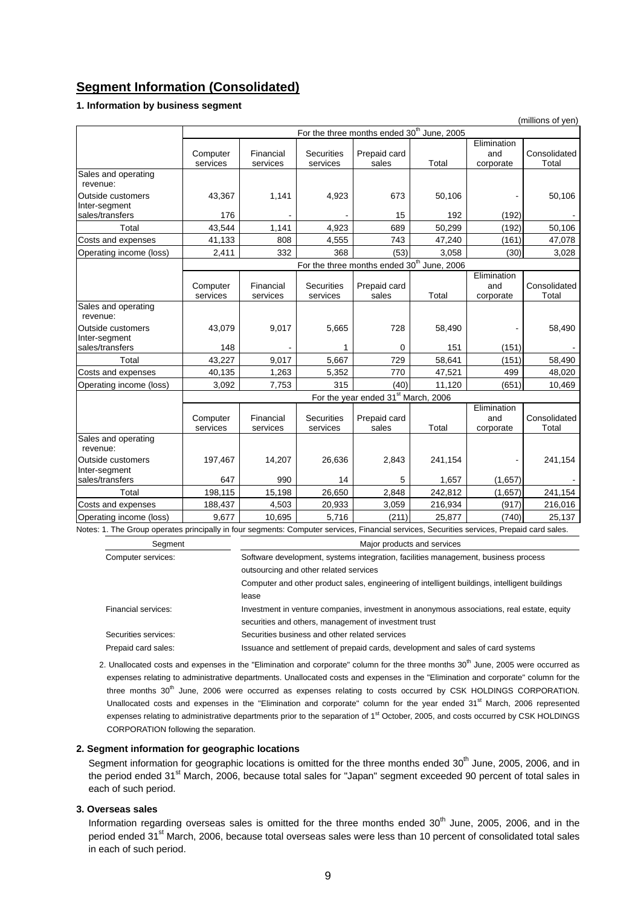### **Segment Information (Consolidated)**

### **1. Information by business segment**

|                                                                                                                                            |                      |                                                        |                               |                                                        |         |                                 | (millions of yen)     |  |  |
|--------------------------------------------------------------------------------------------------------------------------------------------|----------------------|--------------------------------------------------------|-------------------------------|--------------------------------------------------------|---------|---------------------------------|-----------------------|--|--|
|                                                                                                                                            |                      |                                                        |                               | For the three months ended 30 <sup>th</sup> June, 2005 |         |                                 |                       |  |  |
|                                                                                                                                            | Computer<br>services | Financial<br>services                                  | <b>Securities</b><br>services | Prepaid card<br>sales                                  | Total   | Elimination<br>and<br>corporate | Consolidated<br>Total |  |  |
| Sales and operating<br>revenue:                                                                                                            |                      |                                                        |                               |                                                        |         |                                 |                       |  |  |
| Outside customers<br>Inter-segment                                                                                                         | 43,367               | 1,141                                                  | 4,923                         | 673                                                    | 50,106  |                                 | 50,106                |  |  |
| sales/transfers                                                                                                                            | 176                  |                                                        |                               | 15                                                     | 192     | (192)                           |                       |  |  |
| Total                                                                                                                                      | 43,544               | 1,141                                                  | 4,923                         | 689                                                    | 50,299  | (192)                           | 50,106                |  |  |
| Costs and expenses                                                                                                                         | 41,133               | 808                                                    | 4,555                         | 743                                                    | 47,240  | (161)                           | 47,078                |  |  |
| Operating income (loss)                                                                                                                    | 2,411                | 332                                                    | 368                           | (53)                                                   | 3,058   | (30)                            | 3,028                 |  |  |
|                                                                                                                                            |                      | For the three months ended 30 <sup>th</sup> June, 2006 |                               |                                                        |         |                                 |                       |  |  |
|                                                                                                                                            | Computer<br>services | Financial<br>services                                  | <b>Securities</b><br>services | Prepaid card<br>sales                                  | Total   | Elimination<br>and<br>corporate | Consolidated<br>Total |  |  |
| Sales and operating<br>revenue:                                                                                                            |                      |                                                        |                               |                                                        |         |                                 |                       |  |  |
| Outside customers<br>Inter-segment                                                                                                         | 43,079               | 9,017                                                  | 5,665                         | 728                                                    | 58,490  |                                 | 58,490                |  |  |
| sales/transfers                                                                                                                            | 148                  |                                                        |                               | 0                                                      | 151     | (151)                           |                       |  |  |
| Total                                                                                                                                      | 43,227               | 9,017                                                  | 5,667                         | 729                                                    | 58,641  | (151)                           | 58,490                |  |  |
| Costs and expenses                                                                                                                         | 40,135               | 1,263                                                  | 5,352                         | 770                                                    | 47,521  | 499                             | 48,020                |  |  |
| Operating income (loss)                                                                                                                    | 3,092                | 7,753                                                  | 315                           | (40)                                                   | 11,120  | (651)                           | 10,469                |  |  |
|                                                                                                                                            |                      |                                                        |                               | For the year ended 31 <sup>st</sup> March, 2006        |         |                                 |                       |  |  |
|                                                                                                                                            | Computer<br>services | Financial<br>services                                  | <b>Securities</b><br>services | Prepaid card<br>sales                                  | Total   | Elimination<br>and<br>corporate | Consolidated<br>Total |  |  |
| Sales and operating<br>revenue:                                                                                                            |                      |                                                        |                               |                                                        |         |                                 |                       |  |  |
| Outside customers<br>Inter-segment                                                                                                         | 197,467              | 14,207                                                 | 26,636                        | 2,843                                                  | 241,154 |                                 | 241,154               |  |  |
| sales/transfers                                                                                                                            | 647                  | 990                                                    | 14                            | 5                                                      | 1,657   | (1,657)                         |                       |  |  |
| Total                                                                                                                                      | 198,115              | 15,198                                                 | 26,650                        | 2,848                                                  | 242,812 | (1,657)                         | 241,154               |  |  |
| Costs and expenses                                                                                                                         | 188,437              | 4,503                                                  | 20,933                        | 3,059                                                  | 216,934 | (917)                           | 216,016               |  |  |
| Operating income (loss)                                                                                                                    | 9.677                | 10.695                                                 | 5,716                         | (211)                                                  | 25,877  | (740)                           | 25,137                |  |  |
| Notes: 1. The Group operates principally in four segments: Computer services, Financial services, Securities services, Prepaid card sales. |                      |                                                        |                               |                                                        |         |                                 |                       |  |  |

| Segment              | Major products and services                                                                   |  |  |  |  |  |
|----------------------|-----------------------------------------------------------------------------------------------|--|--|--|--|--|
| Computer services:   | Software development, systems integration, facilities management, business process            |  |  |  |  |  |
|                      | outsourcing and other related services                                                        |  |  |  |  |  |
|                      | Computer and other product sales, engineering of intelligent buildings, intelligent buildings |  |  |  |  |  |
|                      | lease                                                                                         |  |  |  |  |  |
| Financial services:  | Investment in venture companies, investment in anonymous associations, real estate, equity    |  |  |  |  |  |
|                      | securities and others, management of investment trust                                         |  |  |  |  |  |
| Securities services: | Securities business and other related services                                                |  |  |  |  |  |
| Prepaid card sales:  | Issuance and settlement of prepaid cards, development and sales of card systems               |  |  |  |  |  |

2. Unallocated costs and expenses in the "Elimination and corporate" column for the three months 30<sup>th</sup> June, 2005 were occurred as expenses relating to administrative departments. Unallocated costs and expenses in the "Elimination and corporate" column for the three months 30<sup>th</sup> June, 2006 were occurred as expenses relating to costs occurred by CSK HOLDINGS CORPORATION. Unallocated costs and expenses in the "Elimination and corporate" column for the year ended  $31<sup>st</sup>$  March, 2006 represented expenses relating to administrative departments prior to the separation of 1<sup>st</sup> October, 2005, and costs occurred by CSK HOLDINGS CORPORATION following the separation.

### **2. Segment information for geographic locations**

Segment information for geographic locations is omitted for the three months ended 30<sup>th</sup> June, 2005, 2006, and in the period ended 31<sup>st</sup> March, 2006, because total sales for "Japan" segment exceeded 90 percent of total sales in each of such period.

### **3. Overseas sales**

Information regarding overseas sales is omitted for the three months ended 30<sup>th</sup> June, 2005, 2006, and in the period ended 31<sup>st</sup> March, 2006, because total overseas sales were less than 10 percent of consolidated total sales in each of such period.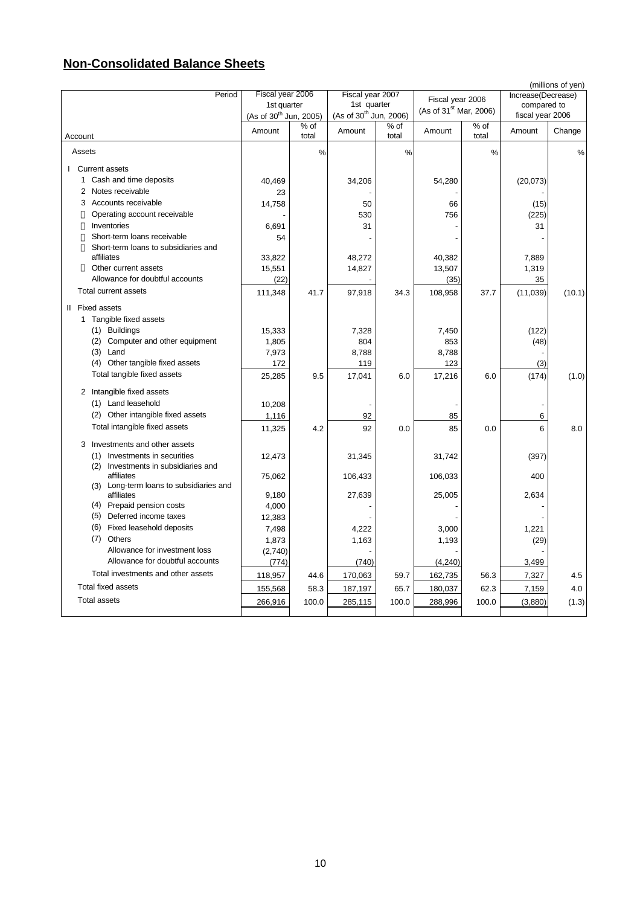## **Non-Consolidated Balance Sheets**

|                                         |                                                   |       |                                    |       |                                    |       |                                   | (millions of yen) |
|-----------------------------------------|---------------------------------------------------|-------|------------------------------------|-------|------------------------------------|-------|-----------------------------------|-------------------|
| Period                                  | Fiscal year 2006                                  |       | Fiscal year 2007<br>1st quarter    |       | Fiscal year 2006                   |       | Increase(Decrease)<br>compared to |                   |
|                                         | 1st quarter<br>(As of 30 <sup>th</sup> Jun, 2005) |       | (As of 30 <sup>th</sup> Jun, 2006) |       | (As of 31 <sup>st</sup> Mar, 2006) |       | fiscal year 2006                  |                   |
|                                         |                                                   | % of  |                                    | % of  |                                    | % of  |                                   |                   |
| Account                                 | Amount                                            | total | Amount                             | total | Amount                             | total | Amount                            | Change            |
| Assets                                  |                                                   | $\%$  |                                    | %     |                                    | %     |                                   | %                 |
|                                         |                                                   |       |                                    |       |                                    |       |                                   |                   |
| <b>Current assets</b>                   |                                                   |       |                                    |       |                                    |       |                                   |                   |
| 1 Cash and time deposits                | 40,469                                            |       | 34,206                             |       | 54,280                             |       | (20,073)                          |                   |
| 2 Notes receivable                      | 23                                                |       |                                    |       |                                    |       |                                   |                   |
| 3 Accounts receivable                   | 14,758                                            |       | 50                                 |       | 66                                 |       | (15)                              |                   |
| Operating account receivable            |                                                   |       | 530                                |       | 756                                |       | (225)                             |                   |
| Inventories                             | 6,691                                             |       | 31                                 |       |                                    |       | 31                                |                   |
| Short-term loans receivable             | 54                                                |       |                                    |       |                                    |       |                                   |                   |
| Short-term loans to subsidiaries and    |                                                   |       |                                    |       |                                    |       |                                   |                   |
| affiliates                              | 33,822                                            |       | 48,272                             |       | 40,382                             |       | 7,889                             |                   |
| Other current assets                    | 15,551                                            |       | 14,827                             |       | 13,507                             |       | 1,319                             |                   |
| Allowance for doubtful accounts         | (22)                                              |       |                                    |       | (35)                               |       | 35                                |                   |
| Total current assets                    | 111,348                                           | 41.7  | 97,918                             | 34.3  | 108,958                            | 37.7  | (11, 039)                         | (10.1)            |
| II Fixed assets                         |                                                   |       |                                    |       |                                    |       |                                   |                   |
| 1 Tangible fixed assets                 |                                                   |       |                                    |       |                                    |       |                                   |                   |
| (1) Buildings                           | 15,333                                            |       | 7,328                              |       | 7,450                              |       | (122)                             |                   |
| (2) Computer and other equipment        | 1,805                                             |       | 804                                |       | 853                                |       | (48)                              |                   |
| $(3)$ Land                              | 7,973                                             |       | 8,788                              |       | 8,788                              |       |                                   |                   |
| (4) Other tangible fixed assets         | 172                                               |       | 119                                |       | 123                                |       | (3)                               |                   |
| Total tangible fixed assets             | 25,285                                            | 9.5   | 17,041                             | 6.0   | 17,216                             | 6.0   | (174)                             | (1.0)             |
| 2 Intangible fixed assets               |                                                   |       |                                    |       |                                    |       |                                   |                   |
| (1) Land leasehold                      | 10,208                                            |       |                                    |       |                                    |       |                                   |                   |
| (2) Other intangible fixed assets       | 1,116                                             |       | 92                                 |       | 85                                 |       | 6                                 |                   |
| Total intangible fixed assets           | 11,325                                            | 4.2   | 92                                 | 0.0   | 85                                 | 0.0   | 6                                 | 8.0               |
| 3 Investments and other assets          |                                                   |       |                                    |       |                                    |       |                                   |                   |
| (1) Investments in securities           | 12,473                                            |       | 31,345                             |       | 31,742                             |       | (397)                             |                   |
| (2) Investments in subsidiaries and     |                                                   |       |                                    |       |                                    |       |                                   |                   |
| affiliates                              | 75,062                                            |       | 106,433                            |       | 106,033                            |       | 400                               |                   |
| (3) Long-term loans to subsidiaries and |                                                   |       |                                    |       |                                    |       |                                   |                   |
| affiliates                              | 9,180                                             |       | 27,639                             |       | 25,005                             |       | 2,634                             |                   |
| (4) Prepaid pension costs               | 4,000                                             |       |                                    |       |                                    |       |                                   |                   |
| (5) Deferred income taxes               | 12,383                                            |       |                                    |       |                                    |       |                                   |                   |
| (6) Fixed leasehold deposits            | 7,498                                             |       | 4,222                              |       | 3,000                              |       | 1,221                             |                   |
| (7) Others                              | 1,873                                             |       | 1,163                              |       | 1,193                              |       | (29)                              |                   |
| Allowance for investment loss           | (2,740)                                           |       |                                    |       |                                    |       |                                   |                   |
| Allowance for doubtful accounts         | (774)                                             |       | (740)                              |       | (4,240)                            |       | 3,499                             |                   |
| Total investments and other assets      | 118,957                                           | 44.6  | 170,063                            | 59.7  | 162,735                            | 56.3  | 7,327                             | 4.5               |
| <b>Total fixed assets</b>               | 155,568                                           | 58.3  | 187,197                            | 65.7  | 180,037                            | 62.3  | 7,159                             | 4.0               |
| <b>Total assets</b>                     | 266,916                                           | 100.0 | 285,115                            | 100.0 | 288,996                            | 100.0 | (3,880)                           | (1.3)             |
|                                         |                                                   |       |                                    |       |                                    |       |                                   |                   |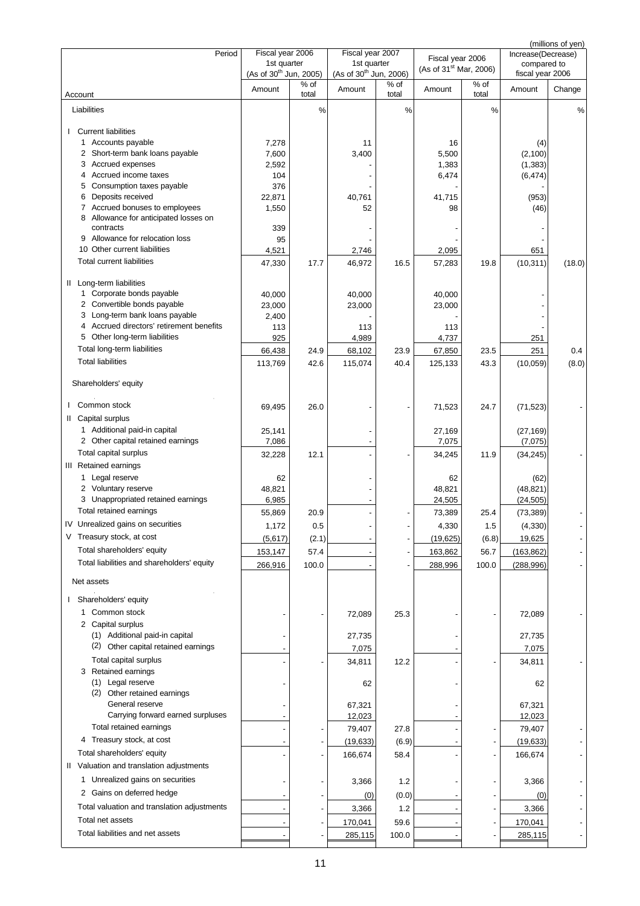| Period                                                        | Fiscal year 2006<br>1st quarter              |               | Fiscal year 2007<br>1st quarter              |                        | Fiscal year 2006<br>(As of 31 <sup>st</sup> Mar, 2006) |               |                            | (millions of yen)<br>Increase(Decrease)<br>compared to |
|---------------------------------------------------------------|----------------------------------------------|---------------|----------------------------------------------|------------------------|--------------------------------------------------------|---------------|----------------------------|--------------------------------------------------------|
|                                                               | (As of 30 <sup>th</sup> Jun, 2005)<br>Amount | $%$ of        | (As of 30 <sup>th</sup> Jun, 2006)<br>Amount | % of                   | Amount                                                 | % of          | fiscal year 2006<br>Amount | Change                                                 |
| Account<br>Liabilities                                        |                                              | total<br>$\%$ |                                              | total<br>$\frac{0}{0}$ |                                                        | total<br>$\%$ |                            | %                                                      |
|                                                               |                                              |               |                                              |                        |                                                        |               |                            |                                                        |
| <b>Current liabilities</b><br>1 Accounts payable              | 7,278                                        |               | 11                                           |                        | 16                                                     |               | (4)                        |                                                        |
| 2 Short-term bank loans payable                               | 7,600                                        |               | 3,400                                        |                        | 5,500                                                  |               | (2,100)                    |                                                        |
| Accrued expenses<br>3                                         | 2,592                                        |               |                                              |                        | 1,383                                                  |               | (1, 383)                   |                                                        |
| Accrued income taxes<br>4                                     | 104                                          |               |                                              |                        | 6,474                                                  |               | (6, 474)                   |                                                        |
| Consumption taxes payable<br>5                                | 376                                          |               |                                              |                        |                                                        |               |                            |                                                        |
| Deposits received<br>6<br>7 Accrued bonuses to employees      | 22,871<br>1,550                              |               | 40,761<br>52                                 |                        | 41,715<br>98                                           |               | (953)<br>(46)              |                                                        |
| 8 Allowance for anticipated losses on                         |                                              |               |                                              |                        |                                                        |               |                            |                                                        |
| contracts                                                     | 339                                          |               |                                              |                        |                                                        |               |                            |                                                        |
| Allowance for relocation loss<br>9                            | 95                                           |               |                                              |                        |                                                        |               |                            |                                                        |
| 10 Other current liabilities                                  | 4,521                                        |               | 2,746                                        |                        | 2,095                                                  |               | 651                        |                                                        |
| <b>Total current liabilities</b>                              | 47,330                                       | 17.7          | 46,972                                       | 16.5                   | 57,283                                                 | 19.8          | (10, 311)                  | (18.0)                                                 |
| II Long-term liabilities                                      |                                              |               |                                              |                        |                                                        |               |                            |                                                        |
| 1 Corporate bonds payable                                     | 40,000                                       |               | 40,000                                       |                        | 40,000                                                 |               |                            |                                                        |
| 2 Convertible bonds payable<br>3 Long-term bank loans payable | 23,000<br>2,400                              |               | 23,000                                       |                        | 23,000                                                 |               |                            |                                                        |
| 4 Accrued directors' retirement benefits                      | 113                                          |               | 113                                          |                        | 113                                                    |               |                            |                                                        |
| 5 Other long-term liabilities                                 | 925                                          |               | 4,989                                        |                        | 4,737                                                  |               | 251                        |                                                        |
| Total long-term liabilities                                   | 66,438                                       | 24.9          | 68,102                                       | 23.9                   | 67,850                                                 | 23.5          | 251                        | 0.4                                                    |
| <b>Total liabilities</b>                                      | 113,769                                      | 42.6          | 115,074                                      | 40.4                   | 125,133                                                | 43.3          | (10, 059)                  | (8.0)                                                  |
| Shareholders' equity                                          |                                              |               |                                              |                        |                                                        |               |                            |                                                        |
| Common stock                                                  | 69,495                                       | 26.0          |                                              |                        | 71,523                                                 | 24.7          | (71, 523)                  |                                                        |
| II Capital surplus                                            |                                              |               |                                              |                        |                                                        |               |                            |                                                        |
| 1 Additional paid-in capital                                  | 25,141                                       |               |                                              |                        | 27,169                                                 |               | (27, 169)                  |                                                        |
| 2 Other capital retained earnings                             | 7,086                                        |               |                                              |                        | 7,075                                                  |               | (7,075)                    |                                                        |
| Total capital surplus                                         | 32,228                                       | 12.1          |                                              |                        | 34,245                                                 | 11.9          | (34, 245)                  |                                                        |
| III Retained earnings                                         |                                              |               |                                              |                        |                                                        |               |                            |                                                        |
| 1 Legal reserve                                               | 62                                           |               |                                              |                        | 62                                                     |               | (62)                       |                                                        |
| 2 Voluntary reserve                                           | 48,821                                       |               |                                              |                        | 48,821                                                 |               | (48, 821)                  |                                                        |
| 3 Unappropriated retained earnings<br>Total retained earnings | 6,985                                        |               |                                              |                        | 24,505                                                 |               | (24, 505)                  |                                                        |
| IV Unrealized gains on securities                             | 55,869                                       | 20.9          |                                              |                        | 73,389                                                 | 25.4          | (73, 389)                  |                                                        |
| V Treasury stock, at cost                                     | 1,172                                        | 0.5           |                                              |                        | 4,330                                                  | 1.5           | (4, 330)                   |                                                        |
| Total shareholders' equity                                    | (5,617)                                      | (2.1)         |                                              |                        | (19, 625)                                              | (6.8)         | 19,625                     |                                                        |
| Total liabilities and shareholders' equity                    | 153,147                                      | 57.4          |                                              |                        | 163,862                                                | 56.7          | (163, 862)                 |                                                        |
|                                                               | 266,916                                      | 100.0         |                                              |                        | 288,996                                                | 100.0         | (288, 996)                 |                                                        |
| Net assets                                                    |                                              |               |                                              |                        |                                                        |               |                            |                                                        |
| Shareholders' equity                                          |                                              |               |                                              |                        |                                                        |               |                            |                                                        |
| 1 Common stock                                                |                                              |               | 72,089                                       | 25.3                   |                                                        |               | 72,089                     |                                                        |
| 2 Capital surplus<br>(1) Additional paid-in capital           |                                              |               | 27,735                                       |                        |                                                        |               | 27,735                     |                                                        |
| (2) Other capital retained earnings                           |                                              |               |                                              |                        |                                                        |               |                            |                                                        |
| Total capital surplus                                         |                                              |               | 7,075<br>34,811                              | 12.2                   |                                                        |               | 7,075<br>34,811            |                                                        |
| 3 Retained earnings                                           |                                              |               |                                              |                        |                                                        |               |                            |                                                        |
| (1) Legal reserve<br>Other retained earnings<br>(2)           |                                              |               | 62                                           |                        |                                                        |               | 62                         |                                                        |
| General reserve                                               |                                              |               | 67,321                                       |                        |                                                        |               | 67,321                     |                                                        |
| Carrying forward earned surpluses                             |                                              |               | 12,023                                       |                        |                                                        |               | 12,023                     |                                                        |
| Total retained earnings                                       |                                              |               | 79,407                                       | 27.8                   |                                                        |               | 79,407                     |                                                        |
| 4 Treasury stock, at cost                                     |                                              |               | (19, 633)                                    | (6.9)                  |                                                        |               | (19, 633)                  |                                                        |
| Total shareholders' equity                                    |                                              |               | 166,674                                      | 58.4                   |                                                        |               | 166,674                    |                                                        |
| II Valuation and translation adjustments                      |                                              |               |                                              |                        |                                                        |               |                            |                                                        |
| 1 Unrealized gains on securities                              |                                              |               | 3,366                                        | 1.2                    |                                                        |               | 3,366                      |                                                        |
| 2 Gains on deferred hedge                                     |                                              |               | (0)                                          | (0.0)                  |                                                        |               | (0)                        |                                                        |
| Total valuation and translation adjustments                   |                                              |               | 3,366                                        | 1.2                    |                                                        |               | 3,366                      |                                                        |
| Total net assets                                              |                                              |               | 170,041                                      | 59.6                   |                                                        |               | 170,041                    |                                                        |
| Total liabilities and net assets                              |                                              |               | 285,115                                      | 100.0                  |                                                        |               | 285,115                    |                                                        |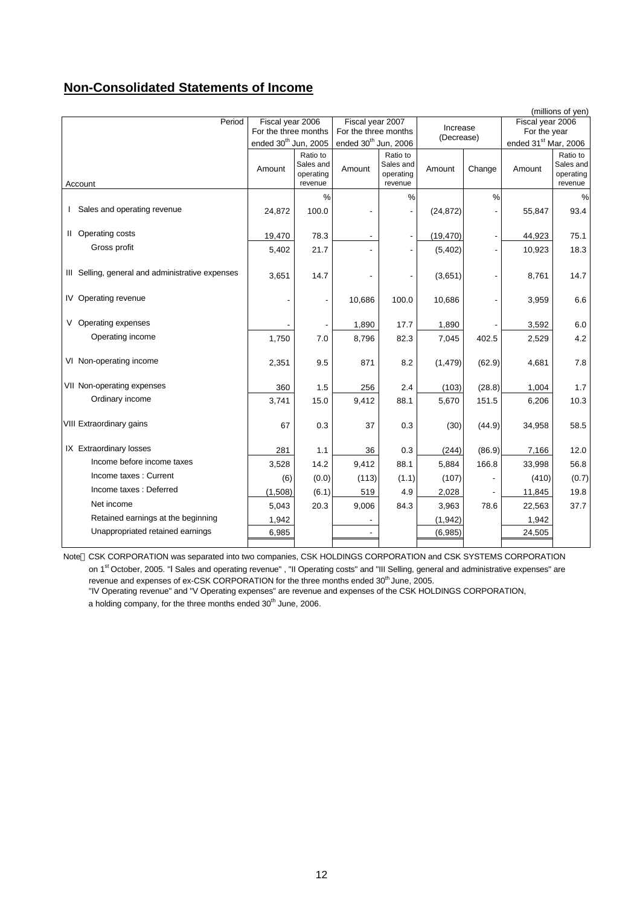## **Non-Consolidated Statements of Income**

|                                                  |                                  |                        |                                  |                        |            |               |                                  | (millions of yen)      |
|--------------------------------------------------|----------------------------------|------------------------|----------------------------------|------------------------|------------|---------------|----------------------------------|------------------------|
| Period                                           | Fiscal year 2006                 |                        | Fiscal year 2007                 |                        | Increase   |               | Fiscal year 2006                 |                        |
|                                                  | For the three months             |                        | For the three months             |                        | (Decrease) |               | For the year                     |                        |
|                                                  | ended 30 <sup>th</sup> Jun, 2005 |                        | ended 30 <sup>th</sup> Jun, 2006 |                        |            |               | ended 31 <sup>st</sup> Mar, 2006 |                        |
|                                                  |                                  | Ratio to               |                                  | Ratio to               |            |               |                                  | Ratio to               |
|                                                  | Amount                           | Sales and<br>operating | Amount                           | Sales and<br>operating | Amount     | Change        | Amount                           | Sales and<br>operating |
| Account                                          |                                  | revenue                |                                  | revenue                |            |               |                                  | revenue                |
|                                                  |                                  | $\frac{0}{0}$          |                                  | $\frac{0}{0}$          |            | $\frac{0}{0}$ |                                  | %                      |
| Sales and operating revenue<br>$\mathbf{L}$      | 24,872                           | 100.0                  |                                  |                        | (24, 872)  |               | 55,847                           | 93.4                   |
|                                                  |                                  |                        |                                  |                        |            |               |                                  |                        |
| II Operating costs                               |                                  |                        |                                  |                        |            |               |                                  |                        |
|                                                  | 19,470                           | 78.3                   |                                  |                        | (19, 470)  |               | 44,923                           | 75.1                   |
| Gross profit                                     | 5,402                            | 21.7                   |                                  |                        | (5,402)    |               | 10,923                           | 18.3                   |
|                                                  |                                  |                        |                                  |                        |            |               |                                  |                        |
| III Selling, general and administrative expenses | 3,651                            | 14.7                   |                                  |                        | (3,651)    |               | 8,761                            | 14.7                   |
|                                                  |                                  |                        |                                  |                        |            |               |                                  |                        |
| IV Operating revenue                             |                                  |                        | 10,686                           | 100.0                  | 10,686     |               | 3,959                            | 6.6                    |
|                                                  |                                  |                        |                                  |                        |            |               |                                  |                        |
| V Operating expenses                             |                                  |                        | 1,890                            | 17.7                   | 1,890      |               | 3,592                            | 6.0                    |
| Operating income                                 | 1,750                            | 7.0                    | 8,796                            | 82.3                   | 7,045      | 402.5         | 2,529                            | 4.2                    |
|                                                  |                                  |                        |                                  |                        |            |               |                                  |                        |
| VI Non-operating income                          | 2,351                            | 9.5                    | 871                              | 8.2                    | (1, 479)   | (62.9)        | 4,681                            | 7.8                    |
|                                                  |                                  |                        |                                  |                        |            |               |                                  |                        |
| VII Non-operating expenses                       | 360                              | 1.5                    | 256                              | 2.4                    | (103)      | (28.8)        | 1,004                            | 1.7                    |
| Ordinary income                                  | 3,741                            | 15.0                   | 9,412                            | 88.1                   | 5,670      | 151.5         | 6,206                            | 10.3                   |
|                                                  |                                  |                        |                                  |                        |            |               |                                  |                        |
| VIII Extraordinary gains                         |                                  |                        |                                  |                        |            |               |                                  |                        |
|                                                  | 67                               | 0.3                    | 37                               | 0.3                    | (30)       | (44.9)        | 34,958                           | 58.5                   |
| IX Extraordinary losses                          |                                  |                        |                                  |                        |            |               |                                  |                        |
|                                                  | 281                              | 1.1                    | 36                               | 0.3                    | (244)      | (86.9)        | 7,166                            | 12.0                   |
| Income before income taxes                       | 3,528                            | 14.2                   | 9,412                            | 88.1                   | 5,884      | 166.8         | 33,998                           | 56.8                   |
| Income taxes : Current                           | (6)                              | (0.0)                  | (113)                            | (1.1)                  | (107)      |               | (410)                            | (0.7)                  |
| Income taxes: Deferred                           | (1,508)                          | (6.1)                  | 519                              | 4.9                    | 2,028      |               | 11,845                           | 19.8                   |
| Net income                                       | 5,043                            | 20.3                   | 9,006                            | 84.3                   | 3,963      | 78.6          | 22,563                           | 37.7                   |
| Retained earnings at the beginning               | 1,942                            |                        |                                  |                        | (1, 942)   |               | 1,942                            |                        |
| Unappropriated retained earnings                 | 6,985                            |                        |                                  |                        | (6,985)    |               | 24,505                           |                        |
|                                                  |                                  |                        |                                  |                        |            |               |                                  |                        |
|                                                  |                                  |                        |                                  |                        |            |               |                                  |                        |

Note CSK CORPORATION was separated into two companies, CSK HOLDINGS CORPORATION and CSK SYSTEMS CORPORATION on 1<sup>st</sup> October, 2005. "I Sales and operating revenue", "II Operating costs" and "III Selling, general and administrative expenses" are revenue and expenses of ex-CSK CORPORATION for the three months ended 30<sup>th</sup> June, 2005.

"IV Operating revenue" and "V Operating expenses" are revenue and expenses of the CSK HOLDINGS CORPORATION,

a holding company, for the three months ended  $30<sup>th</sup>$  June, 2006.